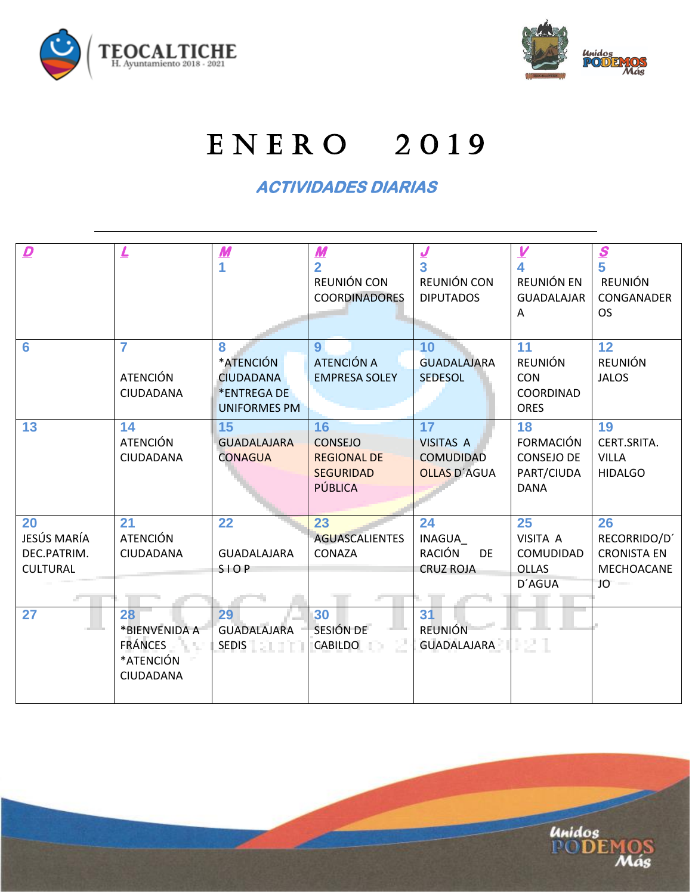



## E N E R O 2 0 1 9

## **ACTIVIDADES DIARIAS**

| $\overline{\mathbf{D}}$                             | $\overline{\mathsf{r}}$                                         | $\boldsymbol{M}$                                                         | $\frac{M}{2}$<br>REUNIÓN CON<br><b>COORDINADORES</b>                      | $\frac{J}{3}$<br>REUNIÓN CON<br><b>DIPUTADOS</b>                  | $\frac{V}{4}$<br>REUNIÓN EN<br><b>GUADALAJAR</b><br>Α             | $\frac{s}{5}$<br>REUNIÓN<br>CONGANADER<br><b>OS</b>          |
|-----------------------------------------------------|-----------------------------------------------------------------|--------------------------------------------------------------------------|---------------------------------------------------------------------------|-------------------------------------------------------------------|-------------------------------------------------------------------|--------------------------------------------------------------|
| 6                                                   | 7<br><b>ATENCIÓN</b><br>CIUDADANA                               | 8<br>*ATENCIÓN<br><b>CIUDADANA</b><br>*ENTREGA DE<br><b>UNIFORMES PM</b> | 9 <sup>°</sup><br>ATENCIÓN A<br><b>EMPRESA SOLEY</b>                      | 10<br><b>GUADALAJARA</b><br><b>SEDESOL</b>                        | 11<br><b>REUNIÓN</b><br><b>CON</b><br>COORDINAD<br><b>ORES</b>    | 12<br><b>REUNIÓN</b><br><b>JALOS</b>                         |
| 13                                                  | 14<br><b>ATENCIÓN</b><br>CIUDADANA                              | 15<br><b>GUADALAJARA</b><br><b>CONAGUA</b>                               | 16<br><b>CONSEJO</b><br><b>REGIONAL DE</b><br><b>SEGURIDAD</b><br>PÚBLICA | 17<br><b>VISITAS A</b><br><b>COMUDIDAD</b><br><b>OLLAS D'AGUA</b> | 18<br><b>FORMACIÓN</b><br>CONSEJO DE<br>PART/CIUDA<br><b>DANA</b> | 19<br>CERT.SRITA.<br><b>VILLA</b><br><b>HIDALGO</b>          |
| 20<br>JESÚS MARÍA<br>DEC.PATRIM.<br><b>CULTURAL</b> | 21<br><b>ATENCIÓN</b><br>CIUDADANA                              | 22<br><b>GUADALAJARA</b><br>SIOP                                         | 23<br><b>AGUASCALIENTES</b><br>CONAZA                                     | 24<br>INAGUA<br><b>RACIÓN</b><br><b>DE</b><br><b>CRUZ ROJA</b>    | 25<br>VISITA A<br><b>COMUDIDAD</b><br><b>OLLAS</b><br>D'AGUA      | 26<br>RECORRIDO/D'<br><b>CRONISTA EN</b><br>MECHOACANE<br>JO |
| 27                                                  | 28<br>*BIENVENIDA A<br><b>FRÁNCES</b><br>*ATENCIÓN<br>CIUDADANA | 29<br><b>GUADALAJARA</b><br>SEDIS <b>ELECT</b>                           | 30<br>SESIÓN DE<br>CABILDO                                                | 31<br><b>REUNIÓN</b><br><b>GUADALAJARA</b>                        | 82 I                                                              |                                                              |

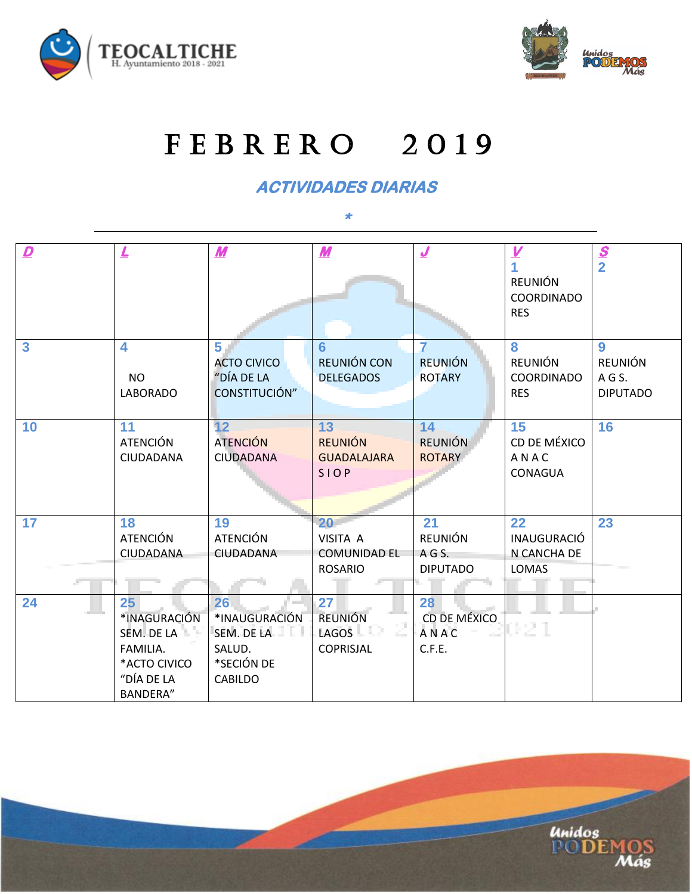



## FEBRERO 2019

**ACTIVIDADES DIARIAS** 

**\*** 

| $\mathbf{D}$            | $\overline{r}$                                                                                | $\boldsymbol{M}$                                                     | $\boldsymbol{M}$                                         | $\overline{\mathcal{L}}$                          | $\frac{V}{1}$<br><b>REUNIÓN</b><br>COORDINADO<br><b>RES</b> | $\frac{S}{2}$                                  |
|-------------------------|-----------------------------------------------------------------------------------------------|----------------------------------------------------------------------|----------------------------------------------------------|---------------------------------------------------|-------------------------------------------------------------|------------------------------------------------|
| $\overline{\mathbf{3}}$ | 4<br><b>NO</b><br><b>LABORADO</b>                                                             | 5<br><b>ACTO CIVICO</b><br>"DÍA DE LA<br>CONSTITUCIÓN"               | 6<br>REUNIÓN CON<br><b>DELEGADOS</b>                     | $\overline{7}$<br><b>REUNIÓN</b><br><b>ROTARY</b> | 8<br>REUNIÓN<br>COORDINADO<br><b>RES</b>                    | 9<br><b>REUNIÓN</b><br>AGS.<br><b>DIPUTADO</b> |
| 10                      | 11<br><b>ATENCIÓN</b><br>CIUDADANA                                                            | 12<br><b>ATENCIÓN</b><br><b>CIUDADANA</b>                            | 13<br><b>REUNIÓN</b><br><b>GUADALAJARA</b><br>SIOP       | 14<br><b>REUNIÓN</b><br><b>ROTARY</b>             | 15<br>CD DE MÉXICO<br>ANAC<br>CONAGUA                       | 16                                             |
| 17                      | 18<br><b>ATENCIÓN</b><br>CIUDADANA                                                            | 19<br><b>ATENCIÓN</b><br>CIUDADANA                                   | 20<br>VISITA A<br><b>COMUNIDAD EL</b><br><b>ROSARIO</b>  | 21<br><b>REUNIÓN</b><br>AGS.<br><b>DIPUTADO</b>   | 22<br><b>INAUGURACIÓ</b><br>N CANCHA DE<br>LOMAS            | 23                                             |
| 24                      | 25<br>*INAGURACIÓN<br>SEM. DE LA<br>FAMILIA.<br>*ACTO CIVICO<br>"DÍA DE LA<br><b>BANDERA"</b> | 26<br>*INAUGURACIÓN<br>SEM. DE LA<br>SALUD.<br>*SECIÓN DE<br>CABILDO | 27<br><b>REUNIÓN</b><br>LAGOS <sup>LI</sup><br>COPRISJAL | 28<br>CD DE MÉXICO<br>ANAC<br>C.F.E.              | 021                                                         |                                                |